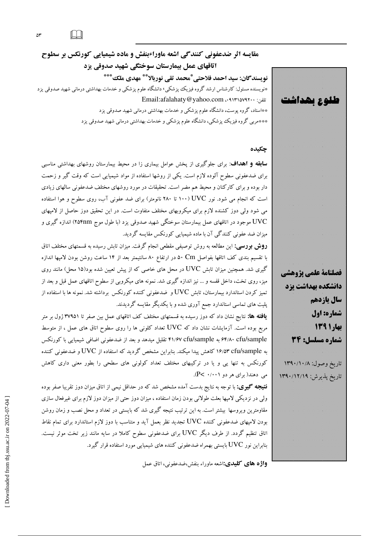#### $\Box$  $\Delta \mathsf{r}$

مقایسه اثر ضدعفونی کنندگی اشعه ماوراءبنفش و ماده شیمیایی کورنکس بر سطوح اتاقهای عمل بیمارستان سوختگی شهید صدوقی یزد نويسندگان: سيد احمد فلاحتى ٌّمحمد تقى نوربالا ٌ\* مهدى ملك ٌ\*\*\* \*نویسنده مسئول: کارشناس ارشد گروه فیزیک پزشکی، دانشگاه علوم پزشکی و خدمات بهداشتی درمانی شهید صدوقی یزد Email:afalahaty@yahoo.com ..٩١٣١٥٧٩٢٠٠ \*\*استاد، گروه پوست، دانشگاه علوم پزشک<sub>ی</sub> و خدمات بهداشت<sub>ی</sub> درمانی شهید صدوقی یزد \*\*\*مربی گروه فیزیک پزشکی، دانشگاه علوم پزشکی و خدمات بهداشتی درمانی شهید صدوقی یزد

### چکیده

**سابقه و اهداف**: برای جلوگیری از یخش عوامل بیماری زا در محیط بیمارستان روشهای بهداشتی مناسبی برای ضدعفونی سطوح آلوده لازم است. یکی از روشها استفاده از مواد شیمیایی است که وقت گیر و زحمت دار بوده و برای کارکنان و محیط هم مضر است. تحقیقات در مورد روشهای مختلف ضدعفونی سالهای زیادی است که انجام می شود. نور UVC (۱۰۰ تا ۲۸۰ نانومتر) برای ضد عفونی آب، روی سطوح و هوا استفاده می شود ولی دوز کشنده لازم برای میکروبهای مختلف متفاوت است. در این تحقیق دوز حاصل از لامپهای .<br>UVC موجود در اتاقهای عمل بیمارستان سوختگی شهید صدوقی یزد (با طول موج ۲۵۴nm) اندازه گیری و میزان ضد عفونی کنندگی آن با ماده شیمیایی کورنکس مقایسه گردید.

**روش بورسی:** این مطالعه به روش توصیفی مقطعی انجام گرفت. میزان تابش رسیده به قسمتهای مختلف اتاق با تقسیم بندی کف اتاقها بفواصل Cm ده در ارتفاع ۸۰ سانتیمتر بعد از ۱۴ ساعت روشن بودن لامپها اندازه گیری شد. همچنین میزان تابش UVC در محل های خاصی که از پیش تعیین شده بود(۱۵ محل) مانند روی میز، روی تخت، داخل قفسه و … نیز اندازه گیری شد. نمونه های میکروبی از سطوح اتاقهای عمل قبل و بعد از تمیز کردن استاندارد بیمارستان، تابش UVC و ضدعفونی کننده کورنکس برداشته شد. نمونه ها با استفاده از پلیت های تماسی استاندارد جمع آوری شده و با یکدیگر مقایسه گردیدند.

**یافته ها:** نتایج نشان داد که دوز رسیده به قسمتهای مختلف کف اتاقهای عمل بین صفر تا ۳۷۹۵۱ ژول بر متر مربع بوده است. آزمایشات نشان داد که UVC تعداد کلونی ها را روی سطوح اتاق های عمل ، از متوسط ۶۴/۸۰ cfu/sample به ۴۱/۶۷ cfu/sample تقلیل میدهد و بعد از ضدعفونی اضافی شیمیایی با کورنکس به ۱۶/۵۳ cfu/sample كاهش پیدا میكند. بنابراین مشخص گردید كه استفاده از UVC و ضدعفونی كننده کورنکس به تنها یی و یا در ترکیبهای مختلف تعداد کولونی های سطحی را بطور معنی داری کاهش می دهند( برای هر دو P< ۰/۰۰۱).

**نتیجه گیوی:** با توجه به نتایج بدست آمده مشخص شد که در حداقل نیمی از اتاق میزان دوز تقریبا صفر بوده ولی در نزدیکی لامپها بعلت طولانی بودن زمان استفاده ، میزان دوز حتی از میزان دوز لازم برای غیرفعال سازی مقاومترین ویروسها بیشتر است. به این ترتیب نتیجه گیری شد که بایستی در تعداد و محل نصب و زمان روشن بودن لامیهای ضدعفونی کننده UVC تجدید نظر بعمل آید و متناسب با دوز لازم استاندارد برای تمام نقاط اتاق تنظیم گردد. از طرف دیگر UVC برای ضدعفونی سطوح کاملا در سایه مانند زیر تخت موثر نیست. بنابراین نور UVC بایستی بهمراه ضدعفونی کننده های شیمیایی مورد استفاده قرار گیرد.

واژه های کلیدی:اشعه ماوراء بنفش،ضدعفونی، اتاق عمل

فصلنامة علمي يزوهشي دانشگده بهداشت یزد سال ياردهم شماره: اول بهار ۱۳۹۱ شماره مسلسل: 34 تاريخ وصول: ۱۳۹۰/۱۰/۸ تاریخ پدیوش ۱۳۹۰/۱۲/۱۹ 

طلوع بھداشت

Downloaded from tbj.ssu.ac.ir on 2022-07-04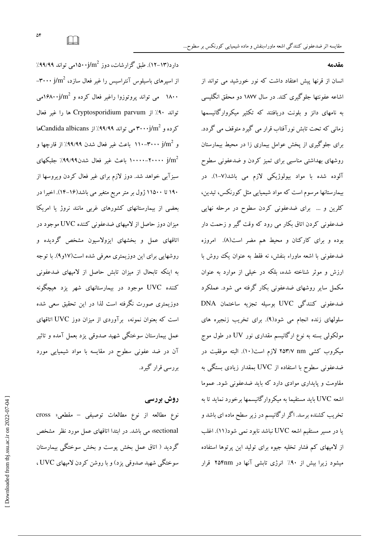$\gamma$ دارد(۱۳–۱۲). طبق گزارشات، دوز  $j/\text{m}^2$ ۱۵۰۰می تواند ۹۹/۹۹٪ از اسپرهای باسیلوس آنتراسیس را غیر فعال سازد،  $j/\mathrm{m}^{2}$ – ۱۸۰۰ می تواند پروتوزوا راغیر فعال کرده و ۱۶۸۰۰j/m<sup>2</sup>می تواند ٩٠٪ از Cryptosporidium parvum ها را غير فعال کرده و ۳۰۰۰j/m<sup>2</sup> می تواند ۹۹/۹۹٪ از Candida albicansک و m $\cdot$ y+ -۰۰۰-۱۱۰ باعث غیر فعال شدن ۹۹/۹۹٪ از قارچها و است - ۱۰۰۰۰–۱۰۰۰۰ باعث غیر فعال شدن۹۹/۹۹٪ جلبکهای  $\mathrm{Im}^2$ سبزآبی خواهد شد. دوز لازم برای غیر فعال کردن ویروسها از ۱۹۰ تا ۱۱۵۰۰ ژول بر متر مربع متغیر می باشد(۱۶–۱۴). اخیرا در بعضی از بیمارستانهای کشورهای غربی مانند نروژ یا امریکا میزان دوز حاصل از لامپهای ضدعفونی کننده UVC موجود در اتاقهای عمل و بخشهای ایزولاسیون مشخص گردیده و روشهایی برای این دوزیمتری معرفی شده است(۱۷و۹). با توجه به اینکه تابحال از میزان تابش حاصل از لامپهای ضدعفونی کننده UVC موجود در بیمارستانهای شهر یزد هیچگونه دوزیمتری صورت نگرفته است لذا در این تحقیق سعی شده است که بعنوان نمونه، برآوردی از میزان دوز UVC اتاقهای عمل بیمارستان سوختگی شهید صدوقی یزد بعمل آمده و تاثیر آن در ضد عفونی سطوح در مقایسه با مواد شیمیایی مورد بررسي قرار گيرد.

# روش بررسی

 $\text{cross}$  نوع مطالعه از نوع مطالعات توصيفي – مقطعي «  $\text{cross}$ sectional» می باشد. در ابتدا اتاقهای عمل مورد نظر مشخص گردید ( اتاق عمل بخش یوست و بخش سوختگی بیمارستان سوختگی شهید صدوقی یزد) و با روشن کردن لامیهای UVC ،

#### مقدمه

انسان از قرنها پیش اعتقاد داشت که نور خورشید می تواند از اشاعه عفونتها جلوگیری کند. در سال ۱۸۷۷ دو محقق انگلیسی به نامهای دانز و بلونت دریافتند که تکثیر میکروارگانیسمها زمانی که تحت تابش نورآفتاب قرار می گیرد متوقف می گردد. برای جلوگیری از پخش عوامل بیماری زا در محیط بیمارستان روشهای بهداشتی مناسبی برای تمیز کردن و ضدعفونی سطوح آلوده شده با مواد بیولوژیکی لازم می باشد(۷–۱). در بیمارستانها مرسوم است که مواد شیمیایی مثل کورنکس، تیدین، کلرین و … برای ضدعفونی کردن سطوح در مرحله نهایی ضدعفونی کردن اتاق بکار می رود که وقت گیر و زحمت دار بوده و برای کارکنان و محیط هم مضر است(۸). امروزه ضدعفونی با اشعه ماوراء بنفش، نه فقط به عنوان یک روش با ارزش و موثر شناخته شده، بلکه در خیلی از موارد به عنوان مکمل سایر روشهای ضدعفونی بکار گرفته می شود. عملکرد ضدعفونی کنندگی UVC بوسیله تجزیه ساختمان DNA سلولهای زنده انجام می شود(۹). برای تخریب زنجیره های مولکولی بسته به نوع ارگانیسم مقداری نور UV در طول موج میکروب کشی nm ۲۵۳/۷ لازم است(۱۰). البته موفقیت در ضدعفونی سطوح با استفاده از UVC بمقدار زیادی بستگی به مقاومت و پایداری موادی دارد که باید ضدعفونی شود. عموما اشعه UVC باید مستقیما به میکروارگانیسمها بر خورد نماید تا به تخریب کشنده برسد. اگر ارگانیسم در زیر سطح ماده ای باشد و یا در مسیر مستقیم اشعه UVC نباشد نابود نمبی شود(۱۱). اغلب از لامپهای کم فشار تخلیه جیوه برای تولید این پرتوها استفاده میشود زیرا بیش از ۹۰٪ انرژی تابشی آنها در ۲۵۴nm قرار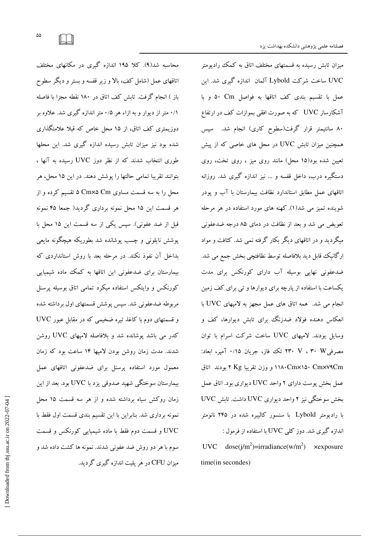میزان تابش رسیده به قسمتهای مختلف اتاق به کمک رادیومتر UVC ساخت شرکت Lybold آلمان اندازه گیری شد. این عمل با تقسيم بندى كف اتاقها به فواصل Cm و با آشکارساز UVC که به صورت افقی بموازات کف در ارتفاع ۸۰ سانتیمتر قرار گرفت(سطوح کاری) انجام شد. سپس همچنین میزان تابش UVC در محل های خاصی که از پیش تعیین شده بود(۱۵ محل) مانند روی میز ، روی تخت، روی دستگیره درب، داخل قفسه و … نیز اندازه گیری شد. روزانه اتاقهای عمل مطابق استاندارد نظافت بیمارستان با آب و یودر شوینده تمیز می شد(۱). کهنه های مورد استفاده در هر مرحله تعویض می شد و بعد از نظافت در دمای ۸۵ درجه ضدعفونی میگردید و در اتاقهای دیگر بکار گرفته نمی شد. کثافت و مواد ارگانیک قابل دید بلافاصله توسط نظافتچی بخش جمع می شد. ضدعفونی نهایی بوسیله آب دارای کورنکس برای مدت یکساعت با استفاده از پارچه برای دیوارها و تی برای کف زمین انجام می شد. همه اتاق های عمل مجهز به لامیهای UVC با انعکاس دهنده فولاد ضدزنگ برای تابش دیوارها، کف و وسايل بودند. لامپهاى UVC ساخت شركت اسرام با توان مصرفی؟ ۲۳ ، ۷ ، ۲۳ تک فاز، جریان ۰/۱۵ آمپر، ابعاد: ۱۱۸۰Cm×۱۵۰ Cmx۷۹Cm و وزن تقریبا Kg ۲ بودند اتاق عمل بخش یوست دارای ۲ واحد UVC دیواری بود. اتاق عمل  $UVC$  بخش سوختگی نیز ۲ واحد دیواری UVC داشت. تابش با رادیومتر Lybold با سنسور کالیبره شده در ۲۴۵ نانومتر  $\,$ اندازه گیری شد. دوز کلی  $\rm UVC$  با استفاده از فرمول

UVC  $\text{dose}(j/m^2)$ =irradiance(w/m<sup>2</sup>) ×exposure time(in secondes) 

محاسبه شد(۹). کلا ۱۹۵ اندازه گیری در مکانهای مختلف اتاقهای عمل (شامل کف، بالا و زیر قفسه و بستر و دیگر سطوح باز ) انجام گرفت. تابش کف اتاق در ۱۸۰ نقطه مجزا با فاصله ۰/۱ متر از دیوار و به ازاء هر ۰/۵ متر اندازه گیری شد. علاوه بر دوزیمتری کف اتاق، از ۱۵ محل خاص که قبلا علامتگذاری شده بود نیز میزان تابش رسیده اندازه گیری شد. این محلها طوری انتخاب شدند که از نظر دوز UVC رسیده به آنها ، بتوانند تقریبا تمامی حالتها را یوشش دهند. در این ۱۵ محل، هر محل را به سه قسمت مساوی Cm×۵ Cm تقسیم کرده و از هر قسمت این ۱۵ محل نمونه برداری گردید( جمعا ۴۵ نمونه قبل از ضد عفونی). سپس یکی از سه قسمت این ۱۵ محل با پوشش نایلونی و چسب پوشانده شد بطوریکه هیچگونه مایعی بداخل آن نفوذ نکند. در مرحله بعد با روش استانداردی که بیمارستان برای ضدعفونی این اتاقها به کمک ماده شیمیایی کورنکس و وایتکس استفاده میکرد تمامی اتاق بوسیله پرسنل مربوطه ضدعفونی شد. سپس پوشش قسمتهای اول برداشته شده  $\rm UVC$  و قسمتهای دوم با کاغذ تیره ضخیمی که در مقابل عبور کدر می باشد پوشانده شد و بلافاصله لامپهای UVC روشن شدند. مدت زمان روشن بودن لامیها ۱۴ ساعت بود که زمان معمول مورد استفاده پرسنل برای ضدعفونی اتاقهای عمل بیمارستان سوختگی شهید صدوقی یزد با UVC بود. بعد از این زمان روکش سیاه برداشته شده و از هر سه قسمت ۱۵ محل نمونه برداری شد. بنابراین با این تقسیم بندی قسمت اول فقط با UVC و قسمت دوم فقط با ماده شیمیایی کورنکس و قسمت سوم با هر دو روش ضد عفونی شدند. نمونه ها کشت داده شد و میزان CFU در هر پلیت اندازه گیری گردید.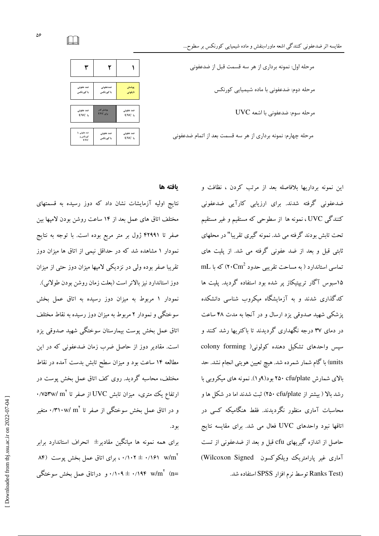| مرحله اول: نمونه برداري از هر سه قسمت قبل از ضدعفوني         |
|--------------------------------------------------------------|
| مرحله دوم: ضدعفونی با ماده شیمیایی کورنکس                    |
| مرحله سوم: ضدعفوني با اشعه UVC                               |
| مرحله چهارم: نمونه برداری از هر سه قسمت بعد از اتمام ضدعفونی |



بافته ها

نتایج اولیه آزمایشات نشان داد که دوز رسیده به قسمتهای مختلف اتاق های عمل بعد از ۱۴ ساعت روشن بودن لامپها بین صفر تا ۴۲۹۹۱ ژول بر متر مربع بوده است. با توجه به نتایج نمودار ۱ مشاهده شد که در حداقل نیمی از اتاق ها میزان دوز تقریبا صفر بوده ولی در نزدیکی لامپها میزان دوز حتی از میزان دوز استاندارد نیز بالاتر است (بعلت زمان روشن بودن طولانی). نمودار ۱ مربوط به میزان دوز رسیده به اتاق عمل بخش سوختگی و نمودار ۲ مربوط به میزان دوز رسیده به نقاط مختلف اتاق عمل بخش یوست بیمارستان سوختگی شهید صدوقی یزد است. مقادیر دوز از حاصل ضرب زمان ضدعفونی که در این مطالعه ۱۴ ساعت بود و میزان سطح تابش بدست آمده در نقاط مختلف، محاسبه گردید. روی کف اتاق عمل بخش پوست در  $\cdot$ /V۵۳w/ m $^{\rm Y}$  از تفاع یک متری، میزان تابش  ${\rm UVC}$  از صفر تا و در اتاق عمل بخش سوختگی از صفر تا 'm۱۰w/ m'. متغیر بو د.

برای همه نمونه ها میانگین مقادیر $\pm$  انحراف استاندارد برابر ۰/۱۶۱ w/m<sup>۲</sup> (۰/۱۰۲ ± ۰/۱۰۲ مبرای اتاق عمل بخش پوست. m= ۰/۱۹۴ w/m $^{\rm v}$  (n= د/۱۰۹ ± ۰/۱۹۴ w/m $^{\rm v}$  (n=

این نمونه برداریها بلافاصله بعد از مرتب کردن ، نظافت و ضدعفونی گرفته شدند. برای ارزیابی کارآیی ضدعفونی کنندگی UVC ، نمونه ها از سطوحی که مستقیم و غیر مستقیم تحت تابش بودند گرفته می شد. نمونه گیری تقریبا" در محلهای ثابتی قبل و بعد از ضد عفونی گرفته می شد. از پلیت های  $\rm mL$  تماسی استاندارد ( به مساحت تقریبی حدود  $\rm Cm^2$ ) که با ۱۵سبوس آگار تریپتیکاز پر شده بود استفاده گردید. پلیت ها کدگذاری شدند و به آزمایشگاه میکروب شناسی دانشکده پزشکی شهید صدوقی یزد ارسال و در آنجا به مدت ۴۸ ساعت در دمای ۳۷ درجه نگهداری گردیدند تا باکتریها رشد کنند و سپس واحدهای تشکیل دهنده کولونی( colony forming units) با گام شمار شمرده شد. هیچ تعیین هویتی انجام نشد. حد بالای شمارش ۲۵۰ cfu/plate بود(۹و۱). نمونه های میکروبی با رشد بالا ( بیشتر از ۲۵۰ cfu/plate) ثبت شدند اما در شکل ها و محاسبات آماری منظور نگردیدند. فقط هنگامبکه کسی در اتاقها نبود واحدهای UVC فعال می شد. برای مقایسه نتایج حاصل از اندازه گیریهای cfu قبل و بعد از ضدعفونی از تست آماری غیر یارامتریک ویلکوکسون Wilcoxon Signed) Ranks Test) توسط نرم افزار SPSS استفاده شد.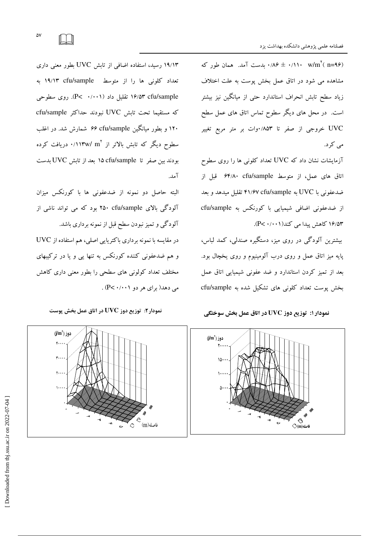باست آمد. همان طور که ۰/۱۱۰ w/m ( n=۹۶) مشاهده می شود در اتاق عمل بخش پوست به علت اختلاف زیاد سطح تابش انحراف استاندارد حتی از میانگین نیز بیشتر است. در محل های دیگر سطوح تماس اتاق های عمل سطح UVC خروجی از صفر تا ۸۵۳/۰وات بر متر مربع تغییر می کرد.

 $\overline{A}$ آزمایشات نشان داد که  $\overline{\text{UVC}}$  تعداد کلونی ها را روی سطوح اتاق های عمل، از متوسط ۶۴/۸۰ cfu/sample قبل از ضدعفونی با UVC به UVC و ۴۱/۶۷ cfu/sample تقلیل میدهد و بعد  $c$ fu/sample از ضدعفونی اضافی شیمیایی با کورنکس به ۱۶/۵۳ کاهش پیدا می کند(۰۰۱–P<۰/۱).

بیشترین آلودگی در روی میز، دستگیره صندلی، کمد لباس، پایه میز اتاق عمل و روی درب آلومینیوم و روی یخچال بود. بعد از تمیز کردن استاندارد و ضد عفونی شیمیایی اتاق عمل بخش پوست تعداد کلونی های تشکیل شده به cfu/sample

نمودار ۱: توزیع دوز UVC در اتاق عمل بخش سوختگی

 $\diamondsuit$ (m)ا $\diamond$ ♦ ◈ ♦

0 - $\overline{\phantom{a}}$ --6 ⊳

 $\ddot{\phantom{0}}$ 

۱۹/۱۳ رسید، استفاده اضافی از تابش UVC بطور معنی داری تعداد کلونی ها را از متوسط 19/۱۳ cfu/sample به ۱۶/۵۳ cfu/sample تقلیل داد (۰/۰۰۱ - P<). روی سطوحی كه مستقيما تحت تابش UVC نبودند حداكثر cfu/sample ۱۲۰ و بطور میانگین cfu/sample # شمارش شد. در اغلب سطوح دیگر که تابش بالاتر از 'm'( ۱۱۳w/ m). دریافت کرده بودند بین صفر تا cfu/sample ۱۵ بعد از تابش UVC بدست آمد.

البته حاصل دو نمونه از ضدعفونی ها با کورنکس میزان آلودگی بالای Cfu/sample ۲۵۰ بود که می تواند ناشی از آلودگی و تمیز نبودن سطح قبل از نمونه برداری باشد. در مقایسه با نمونه برداری باکتریایی اصلی، هم استفاده از UVC و هم ضدعفونی کننده کورنکس به تنها یی و یا در ترکیبهای مختلف تعداد کولونی های سطحی را بطور معنی داری کاهش N XP< :0 002 % S >( WS% 



 $\mathfrak{m}$ فاصله



- 6 ວ  $\ddot{\mathcal{L}}$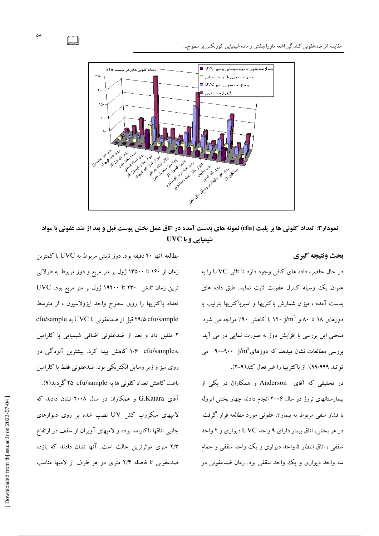

نمودار۳: تعداد کلونی ها بر پلیت (cfu) نمونه های بدست آمده در اتاق عمل بخش پوست قبل و بعد از ضد عفونی با مواد شیمیایی و با UVC

#### بحث ونتيجه گيري

در حال حاضر، داده های کافی وجود دارد تا تاثیر UVC را به عنوان یک وسیله کنترل عفونت ثابت نماید. طبق داده های بدست آمده ، میزان شمارش باکتریها و اسپرباکتریها بترتیب با عنوان یک وسیله کنترل عفونت ثابت نماید. طبق داده های<br>بدست آمده ، میزان شمارش باکتریها و اسپرباکتریها بترتیب با<br>دوزهای ۱۸ تا ۸۰ و 1۳۰ j/m<sup>2</sup> با کاهش ۹۰٪ مواجه می شود. منحنی این بررسی با افزایش دوز به صورت نمایی در می آید.<br>بررسی مطالعات نشان میدهد که دوزهای $\mathfrak{m}^2$ ۹۰۰–۹۰۰ می<br>توانند ۹۹٬۹۹۹۹٪ از باکتریها را غیر فعال کند(۹–۲). بررسی مطالعات نشان میدهد که دوزهای $10^2$  ۹۰۰–۹۰۰  $\,$ می ٪ از باکتریها را غیر فعال کند(۹-۲). بعدا**ر :: تعداد کلونی ها بر پلیت**<br>**نمودار :: تعداد کلونی ها بر پلیت<br>بعث فاتنیچه گیری<br>در حال حاضر، داده های کافی وجود ،<br>در حال حاضر، داده های کافی وجود ،<br>درنای که استان ، در این شمارش باکتریها<br>بیمارستانهای نروژ در سال ۱۲۰** 

در تحقیقی که آقای Anderson و همکاران در یکی از در تحقیقی که آقای Anderson و همکاران در یکی از<br>بیمارستانهای نروژ در سال ۲۰۰۶ انجام دادند چهار بخش ایزوله با فشار منفی مربوط به بیماران عفونی مورد مطالعه قرار گرفت. در هر بخش، اتاق بیمار دارای ۹ واحد UVC دیواری و ۲ واحد سقفی ، اتاق انتظار ۵ واحد دیواری و یک واحد سقفی و حمام سه واحد دیواری و یک واحد سقفی بود. زمان ضدعفونی در

مطالعه آنها ۴۰ دقیقه بود. دوز تابش مربوط به UVC با کمترین زمان از ۱۶۰ تا ۱۳۵۰۰ ژول بر متر مربع و دوز مربوط به طولانی زمان از ۱۶۰ تا ۱۳۵۰۰ ژول بر متر مربع و دوز مربوط به طولانی<br>ترین زمان تابش ۲۳۰ تا ۱۹۲۰۰ ژول بر متر مربع بود. UVC تعداد باكتريها را روى سطوح واحد ايزولاسيون ، از متوسط cfu/sample قبل از ضدعفونی با UVC به cfu/sample ۲ تقلیل داد و بعد از ضدعفونی اضافی شیمیایی با کلرامین به cfu/sample °۱/۶ کاهش پیدا کرد. بیشترین آلودگی در روی میز و زیر وسایل الکتریکی بود. ضدعفونی فقط با کلرامین روی میز و زیر وسایل الکتریکی بود. ضدعفونی فقط با کلرامیز<br>باعث کاهش تعداد کلونی ها به r۵ cfu/sample گردید(۹). آقای G.Katara و همکاران در سال ۲۰۰۸ نشان دادند که لامپهای میکروب کش UV نصب شده بر روی دیوارهای جانبی اتاقها ناکارامد بوده و لامپهای آویزان از سقف در ارتفاع ۲/۳ متری موثرترین حالت است. آنها نشان دادند که بازده ضدعفونی تا فاصله ۲/۴ متری در هر طرف از لامپها مناسب رون (۱٬۱۹۹۸٬۹۹۹ ) از باکتریها راغیر فعال کند(۹٬۱۹۹ ) و در این ساز انگریکی بود. ضدعفونی فقط با کلرامین<br>در تحقیقی که آقای Anderson و همکاران در یکی از است اعث کاهش تعداد کلونی ها به ۲۰۰۵ (Cru/sample و در این ۱۰۰۸ )<br>پیمارستا

 $\Box$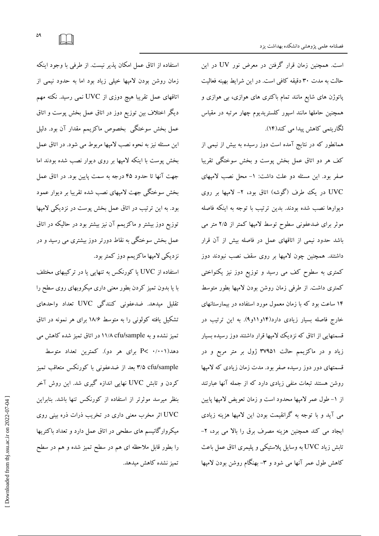است. همچنین زمان قرار گرفتن در معرض نور UV در این حالت به مدت ۳۰ دقیقه کافی است. در این شرایط بهینه فعالیت پاتوژن های شایع مانند تمام باکتری های هوازی، بی هوازی و همچنین حاملها مانند اسپور کلستریدیوم چهار مرتبه در مقیاس لگاریتمی کاهش پیدا می کند(۱۴).

همانطور که در نتایج آمده است دوز رسیده به بیش از نیمی از کف هر دو اتاق عمل بخش پوست و بخش سوختگی تقریبا صفر بود. این مسئله دو علت داشت: ١- محل نصب لامیهای UVC در یک طرف (گوشه) اتاق بود، ۲- لامیها بر روی ديوارها نصب شده بودند. بدين ترتيب با توجه به اينكه فاصله موثر برای ضدعفونی سطوح توسط لامپها کمتر از ۲/۵ متر می باشد حدود نیمی از اتاقهای عمل در فاصله بیش از آن قرار داشتند. همچنین چون لامپها بر روی سقف نصب نبودند دوز کمتری به سطوح کف می رسید و توزیع دوز نیز یکنواختی كمترى داشت. از طرفى زمان روشن بودن لامپها بطور متوسط ۱۴ ساعت بود که با زمان معمول مورد استفاده در بیمارستانهای خارج فاصله بسیار زیادی دارد(۱۴و۱۱و۹). به این ترتیب در قسمتهایی از اتاق که نزدیک لامپها قرار داشتند دوز رسیده بسیار زیاد و در ماکزیمم حالت ۳۷۹۵۱ ژول بر متر مربع و در قسمتهای دور دوز رسیده صفر بود. مدت زمان زیادی که لامیها روشن هستند تبعات منفی زیادی دارد که از جمله آنها عبارتند از ١- طول عمر لاميها محدود است و زمان تعويض لاميها يايين می آید و با توجه به گرانقیمت بودن این لامیها هزینه زیادی ایجاد می کند همچنین هزینه مصرف برق را بالا می برد، ۲-تابش زیاد UVC به وسایل پلاستیکی و پلیمری اتاق عمل باعث کاهش طول عمر آنها می شود و ۳- بهنگام روشن بودن لامیها

استفاده از اتاق عمل امکان پذیر نیست. از طرفی با وجود اینکه زمان روشن بودن لامپها خیلی زیاد بود اما به حدود نیمی از اتاقهای عمل تقریبا هیچ دوزی از UVC نمبی رسید. نکته مهم دیگر اختلاف بین توزیع دوز در اتاق عمل بخش پوست و اتاق عمل بخش سوختگی بخصوص ماکزیمم مقدار آن بود. دلیل این مسئله نیز به نحوه نصب لامپها مربوط می شود. در اتاق عمل بخش پوست با اینکه لامپها بر روی دیوار نصب شده بودند اما جهت آنها تا حدود ۴۵ درجه به سمت پایین بود. در اتاق عمل بخش سوختگی جهت لامپهای نصب شده تقریبا بر دیوار عمود بود. به این ترتیب در اتاق عمل بخش پوست در نزدیکی لامپها توزیع دوز بیشتر و ماکزیمم آن نیز بیشتر بود در حالیکه در اتاق عمل بخش سوختگی به نقاط دورتر دوز بیشتری می رسید و در نزدیکی لامپها ماکزیمم دوز کمتر بود.

استفاده از UVC یا کورنکس به تنهایی یا در ترکیبهای مختلف با یا بدون تمیز کردن بطور معنی داری میکروبهای روی سطح را تقلیل میدهد. ضدعفونی کنندگی UVC تعداد واحدهای تشکیل یافته کولونی را به متوسط ۱۸/۶ برای هر نمونه در اتاق تمیز نشده و به ۱۱/۸ cfu/sample در اتاق تمیز شده کاهش می دهد(۰/۰۰۱) - P برای هر دو). کمترین تعداد متوسط ۳/۵ cfu/sample بعد از ضدعفونی با کورنکس متعاقب تميز کردن و تابش UVC نهایی اندازه گیری شد. این روش آخر بنظر میرسد موثرتر از استفاده از کورنکس تنها باشد. بنابراین UVC اثر مخرب معنی داری در تخریب ذرات ذره بینی روی میکروارگانیسم های سطحی در اتاق عمل دارد و تعداد باکتریها را بطور قابل ملاحظه ای هم در سطح تمیز شده و هم در سطح تميز نشده كاهش ميدهد.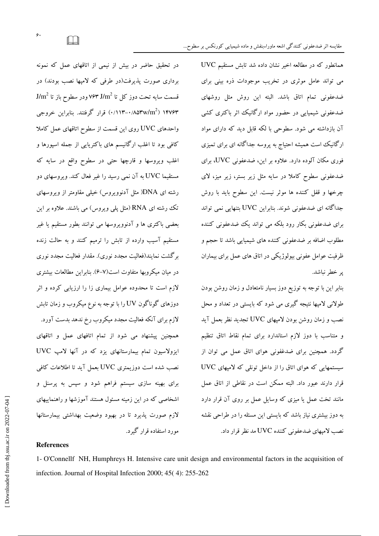در تحقیق حاضر در بیش از نیمی از اتاقهای عمل که نمونه برداری صورت پذیرفت(در طرفی که لامیها نصب بودند) در  $\mathrm{J/m}^2$  قسمت سایه تحت دوز کل تا  $\mathrm{J/m}^2$  ۶۳ ودر سطوح باز تا ۱۴۷۶۳ (۱۸۵۳w/m<sup>2</sup>) قرار گرفتند. بنابراین خروجی واحدهای UVC روی این قسمت از سطوح اتاقهای عمل کاملا کافی بود تا اغلب ارگانیسم های باکتریایی از جمله اسپورها و اغلب ویروسها و قارچها حتی در سطوح واقع در سایه که مستقیما UVC به آن نمی رسید را غیر فعال کند. ویروسهای دو رشته ای DNA( مثل آدنوویروس) خیلی مقاومتر از ویروسهای تک رشته ای RNA (مثل پلی ویروس) می باشند. علاوه بر این بعضبی باکتری ها و آدنوویروسها می توانند بطور مستقیم یا غیر مستقیم آسیب وارده از تابش را ترمیم کنند و به حالت زنده برگشت نمایند(فعالیت مجدد نوری). مقدار فعالیت مجدد نوری در میان میکروبها متفاوت است(۷–۶). بنابراین مطالعات بیشتری لازم است تا محدوده عوامل بیماری زا را ارزیابی کرده و اثر دوزهای گوناگون UV را با توجه به نوع میکروب و زمان تابش لازم برای آنکه فعالیت مجدد میکروب رخ ندهد بدست آورد. همچنین پیشنهاد می شود از تمام اتافهای عمل و اتاقهای ایزولاسیون تمام بیمارستانهای یزد که در آنها لامپ UVC نصب شده است دوزیمتری UVC بعمل آید تا اطلاعات کافی برای بهینه سازی سیستم فراهم شود و سپس به پرسنل و اشخاصی که در این زمینه مسئول هستند آموزشها و راهنماییهای لازم صورت يذيرد تا در بهبود وضعيت بهداشتي بيمارستانها مورد استفاده قرار گیرد.

 $\rm UVC$  همانطور که در مطالعه اخیر نشان داده شد تابش مستقیم می تواند عامل موثری در تخریب موجودات ذره بینی برای ضدعفونی تمام اتاق باشد. البته این روش مثل روشهای ضدعفونی شیمیایی در حضور مواد ارگانیک اثر باکتری کشی آن بازداشته می شود. سطوحی با لکه قابل دید که دارای مواد ارگانیک است همیشه احتیاج به پروسه جداگانه ای برای تمیزی فوری مکان آلوده دارد. علاوه بر این، ضدعفونی UVC، برای ضدعفونی سطوح کاملا در سایه مثل زیر بستر، زیر میز، لای چرخها و قفل کننده ها موثر نیست. این سطوح باید با روش جداگانه ای ضدعفونی شوند. بنابراین UVC بتنهایی نمی تواند برای ضدعفونی بکار رود بلکه می تواند یک ضدعفونی کننده مطلوب اضافه بر ضدعفونی کننده های شیمیایی باشد تا حجم و ظرفیت عوامل عفونی بیولوژیکی در اتاق های عمل برای بیماران پر خطر نباشد.

بنابر این با توجه به توزیع دوز بسیار نامتعادل و زمان روشن بودن طولانې لاميها نتيجه گيړې مې شود که بايستې در تعداد و محل نصب و زمان روشن بودن لامپهای UVC تجدید نظر بعمل آید و متناسب با دوز لازم استاندارد برای تمام نقاط اتاق تنظیم گردد. همچنین برای ضدغفونی هوای اتاق عمل می توان از سیستمهایی که هوای اتاق را از داخل تونلی که لامپهای UVC قرار دارند عبور داد. البته ممكن است در نقاطي از اتاق عمل مانند تخت عمل یا میزی که وسایل عمل بر روی آن قرار دارد به دوز بیشتری نیاز باشد که بایستی این مسئله را در طراحی نقشه نصب لامپهای ضدعفونی کننده UVC مد نظر قرار داد.

#### References

1- O'Connellf NH, Humphreys H. Intensive care unit design and environmental factors in the acquisition of infection. Journal of Hospital Infection 2000; 45( 4): 255-262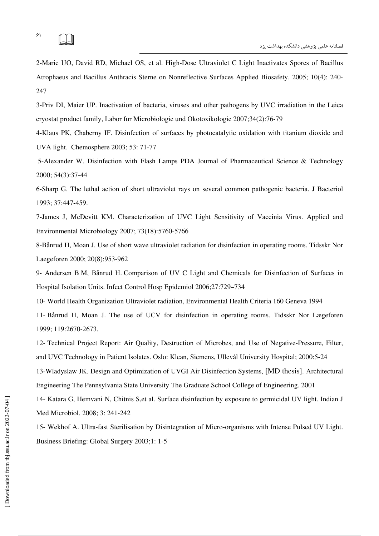2-Marie UO, David RD, Michael OS, et al. High-Dose Ultraviolet C Light Inactivates Spores of Bacillus Atrophaeus and Bacillus Anthracis Sterne on Nonreflective Surfaces Applied Biosafety. 2005; 10(4): 240- 247

3-Priv DI, Maier UP Inactivation of bacteria, viruses and other pathogens by UVC irradiation in the Leica cryostat product family, Labor fur Microbiologie und Okotoxikologie 2007;34(2):76-79

4-Klaus PK, Chaberny IF. Disinfection of surfaces by photocatalytic oxidation with titanium dioxide and UVA light. Chemosphere 2003; 53: 71-77

5-Alexander W. Disinfection with Flash Lamps PDA Journal of Pharmaceutical Science & Technology 2000; 54(3):37-44

6-Sharp G. The lethal action of short ultraviolet rays on several common pathogenic bacteria. J Bacteriol 1993; 37:447-459.

7-James J, McDevitt KM. Characterization of UVC Light Sensitivity of Vaccinia Virus. Applied and Environmental Microbiology 2007; 73(18):5760-5766

8-Bånrud H, Moan J. Use of short wave ultraviolet radiation for disinfection in operating rooms. Tidsskr Nor Laegeforen 2000; 20(8):953-962

9- Andersen B M, Bånrud H. Comparison of UV C Light and Chemicals for Disinfection of Surfaces in Hospital Isolation Units. Infect Control Hosp Epidemiol 2006;27:729–734

10- World Health Organization Ultraviolet radiation, Environmental Health Criteria 160 Geneva 1994

11- Bånrud H, Moan J. The use of UCV for disinfection in operating rooms. Tidsskr Nor Lægeforen 1999; 119:2670-2673.

12- Technical Project Report: Air Quality, Destruction of Microbes, and Use of Negative-Pressure, Filter, and UVC Technology in Patient Isolates. Oslo: Klean, Siemens, Ullevål University Hospital; 2000:5-24 13-Wladyslaw JK. Design and Optimization of UVGI Air Disinfection Systems, [MD thesis]. Architectural Engineering The Pennsylvania State University The Graduate School College of Engineering. 2001

14- Katara G, Hemvani N, Chitnis S,et al. Surface disinfection by exposure to germicidal UV light. Indian J Med Microbiol. 2008; 3: 241-242

15- Wekhof A. Ultra-fast Sterilisation by Disintegration of Micro-organisms with Intense Pulsed UV Light. Business Briefing: Global Surgery 2003;1: 1-5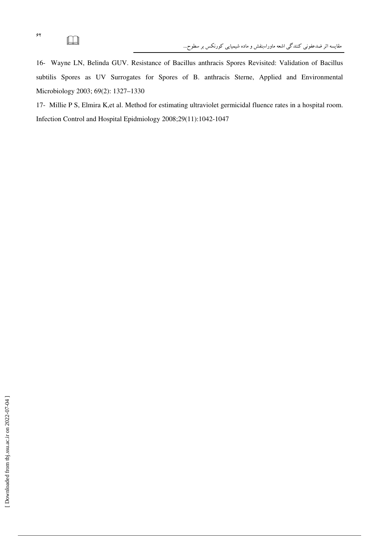16- Wayne LN, Belinda GUV. Resistance of Bacillus anthracis Spores Revisited: Validation of Bacillus subtilis Spores as UV Surrogates for Spores of B. anthracis Sterne, Applied and Environmental Microbiology 2003; 69(2): 1327–1330

17- Millie P S, Elmira K,et al. Method for estimating ultraviolet germicidal fluence rates in a hospital room. Infection Control and Hospital Epidmiology 2008;29(11):1042-1047